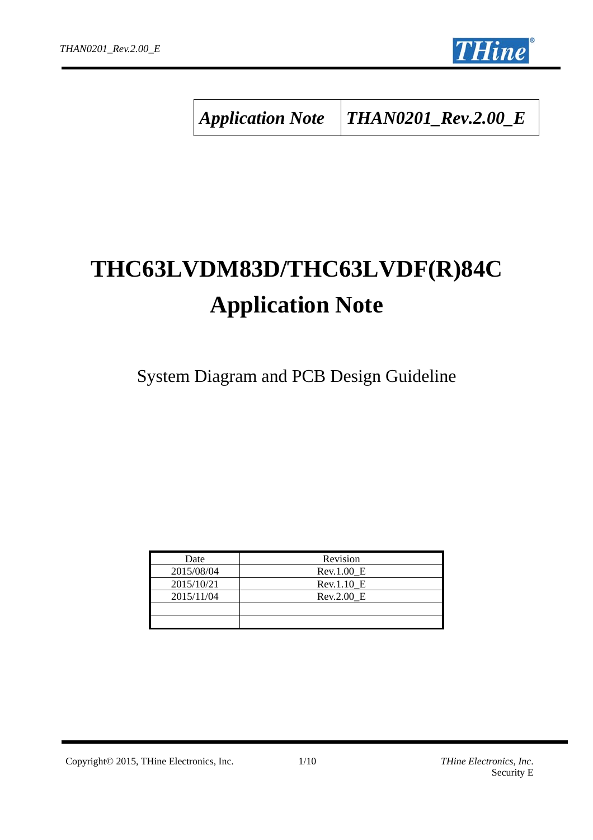

*Application Note THAN0201\_Rev.2.00\_E*

# **THC63LVDM83D/THC63LVDF(R)84C Application Note**

System Diagram and PCB Design Guideline

| Date       | Revision   |
|------------|------------|
| 2015/08/04 | Rev.1.00 E |
| 2015/10/21 | Rev.1.10 E |
| 2015/11/04 | Rev.2.00 E |
|            |            |
|            |            |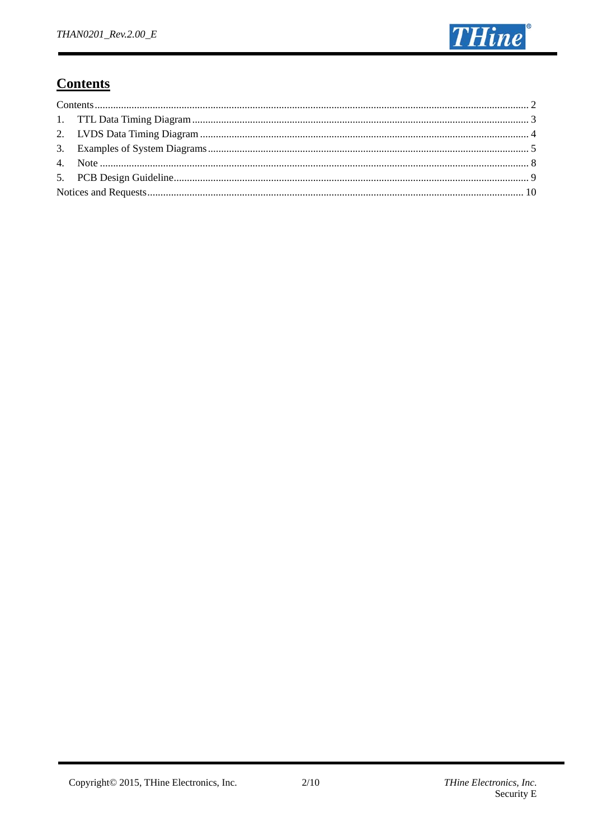

# **Contents**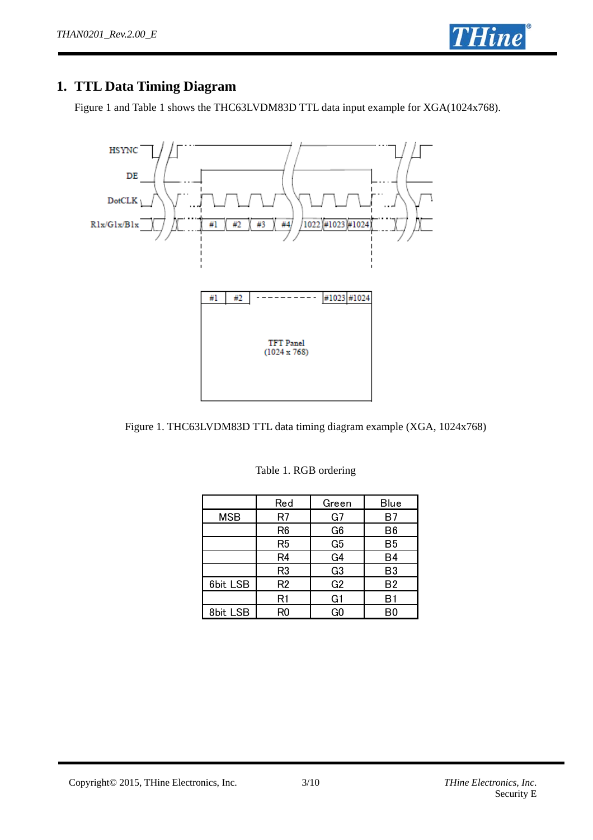

# **1. TTL Data Timing Diagram**

Figure 1 and Table 1 shows the THC63LVDM83D TTL data input example for XGA(1024x768).



Figure 1. THC63LVDM83D TTL data timing diagram example (XGA, 1024x768)

|            | Red            | Green          | <b>Blue</b>    |
|------------|----------------|----------------|----------------|
| <b>MSB</b> | R7             | G7             | B7             |
|            | R <sub>6</sub> | G <sub>6</sub> | B <sub>6</sub> |
|            | R <sub>5</sub> | G <sub>5</sub> | <b>B5</b>      |
|            | R <sub>4</sub> | G <sub>4</sub> | B <sub>4</sub> |
|            | R <sub>3</sub> | G <sub>3</sub> | B <sub>3</sub> |
| 6bit LSB   | R <sub>2</sub> | G <sub>2</sub> | <b>B2</b>      |
|            | R1             | G <sub>1</sub> | B1             |
| 8bit LSB   | R0             | G <sub>0</sub> | B0             |

Table 1. RGB ordering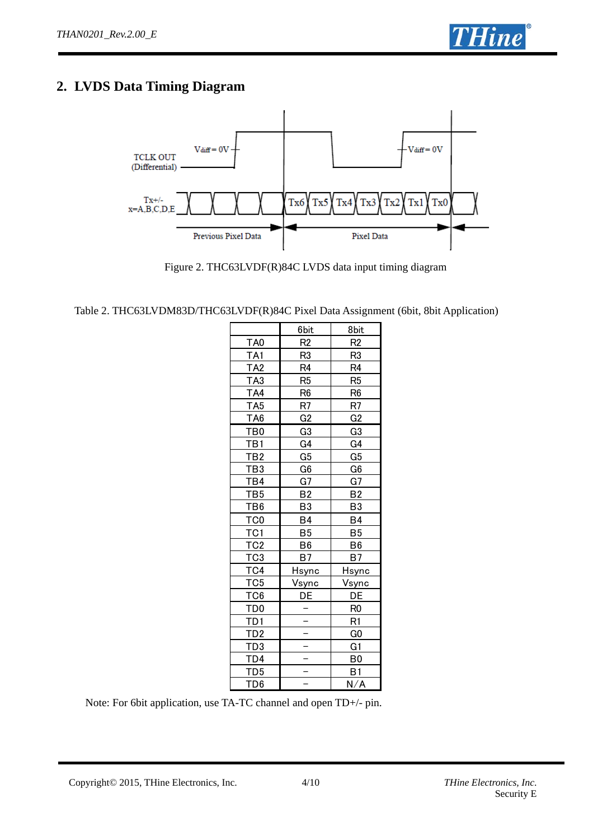

# **2. LVDS Data Timing Diagram**



Figure 2. THC63LVDF(R)84C LVDS data input timing diagram

| Table 2. THC63LVDM83D/THC63LVDF(R)84C Pixel Data Assignment (6bit, 8bit Application) |  |  |  |  |
|--------------------------------------------------------------------------------------|--|--|--|--|
|                                                                                      |  |  |  |  |
|                                                                                      |  |  |  |  |
|                                                                                      |  |  |  |  |

|                 | 6bit           | 8bit             |
|-----------------|----------------|------------------|
| TA <sub>0</sub> | R <sub>2</sub> | R <sub>2</sub>   |
| TA1             | R3             | R3               |
| TA <sub>2</sub> | R4             | R4               |
| TA3             | R5             | R5               |
| TA4             | R6             | R6               |
| <u>TA5</u>      | <u>R7</u>      | <u>R7</u>        |
| <u>TA6</u>      | G2             | G <sub>2</sub>   |
| <u>TB0</u>      | G3             | G3               |
| TB1             | G <sub>4</sub> | G4               |
| <u>TB2</u>      | G <sub>5</sub> | G5               |
| <u>TB3</u>      | G6             | G6               |
| T <u>B4</u>     | G7             | G7               |
| TB <sub>5</sub> | B2             | <u>B2</u>        |
| TB6             | B3             | B3               |
| TC <sub>0</sub> | B4             | <u>B4</u>        |
| TC <sub>1</sub> | B5             | B5               |
| <u>TC2</u>      | B6             | $\underline{B6}$ |
| TC <sub>3</sub> | B7             | B7               |
| <u>TC4</u>      | <u>Hsync</u>   | Hsync            |
| TC <sub>5</sub> | <u>Vsync</u>   | <u>Vsync</u>     |
| T <sub>C6</sub> | DE             | DE               |
| TD0             |                | R <sub>0</sub>   |
| TD1             |                | R1               |
| <u>TD2</u>      |                | $\underline{GO}$ |
| <u>TD3</u>      |                | G1               |
| <u>TD4</u>      |                | B0               |
| TD <sub>5</sub> |                | B1               |
| TD <sub>6</sub> |                | N/A              |

Note: For 6bit application, use TA-TC channel and open TD+/- pin.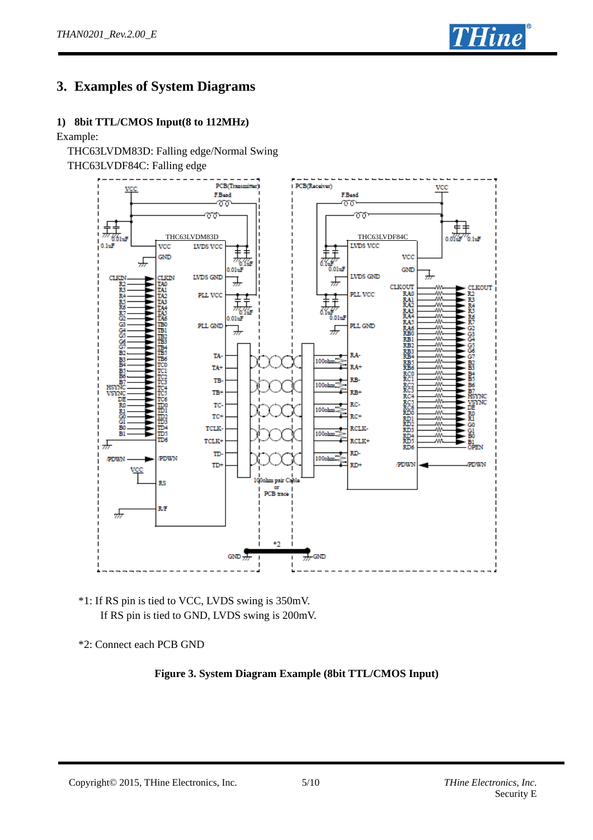

# **3. Examples of System Diagrams**

#### **1) 8bit TTL/CMOS Input(8 to 112MHz)**

#### Example:

THC63LVDM83D: Falling edge/Normal Swing

THC63LVDF84C: Falling edge



\*1: If RS pin is tied to VCC, LVDS swing is 350mV. If RS pin is tied to GND, LVDS swing is 200mV.

\*2: Connect each PCB GND

#### **Figure 3. System Diagram Example (8bit TTL/CMOS Input)**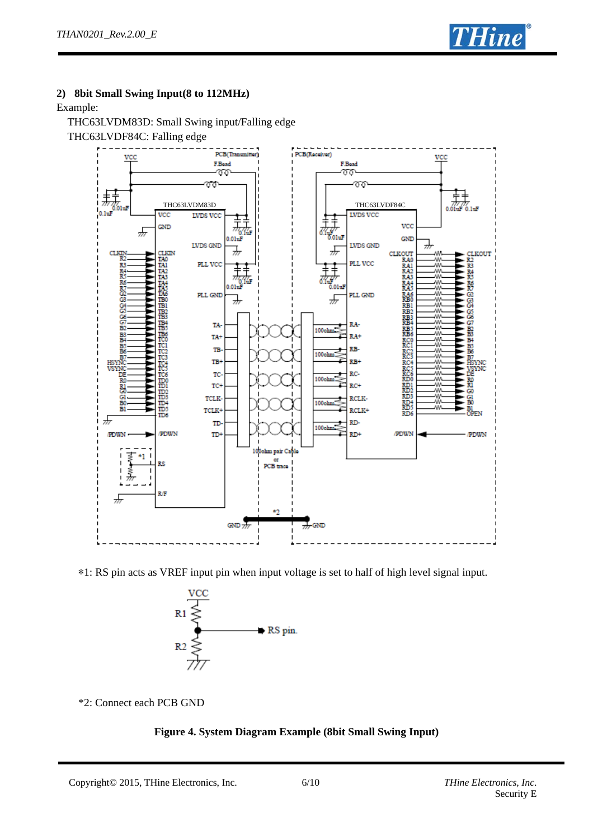

#### **2) 8bit Small Swing Input(8 to 112MHz)**

Example:

THC63LVDM83D: Small Swing input/Falling edge THC63LVDF84C: Falling edge



\*1: RS pin acts as VREF input pin when input voltage is set to half of high level signal input.



\*2: Connect each PCB GND

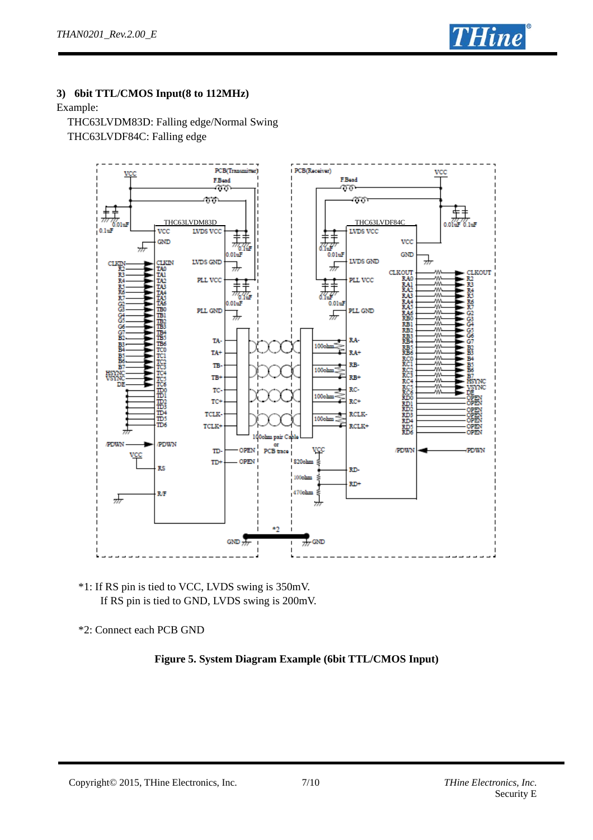

#### **3) 6bit TTL/CMOS Input(8 to 112MHz)**

#### Example:

 THC63LVDM83D: Falling edge/Normal Swing THC63LVDF84C: Falling edge



\*1: If RS pin is tied to VCC, LVDS swing is 350mV. If RS pin is tied to GND, LVDS swing is 200mV.

\*2: Connect each PCB GND

#### **Figure 5. System Diagram Example (6bit TTL/CMOS Input)**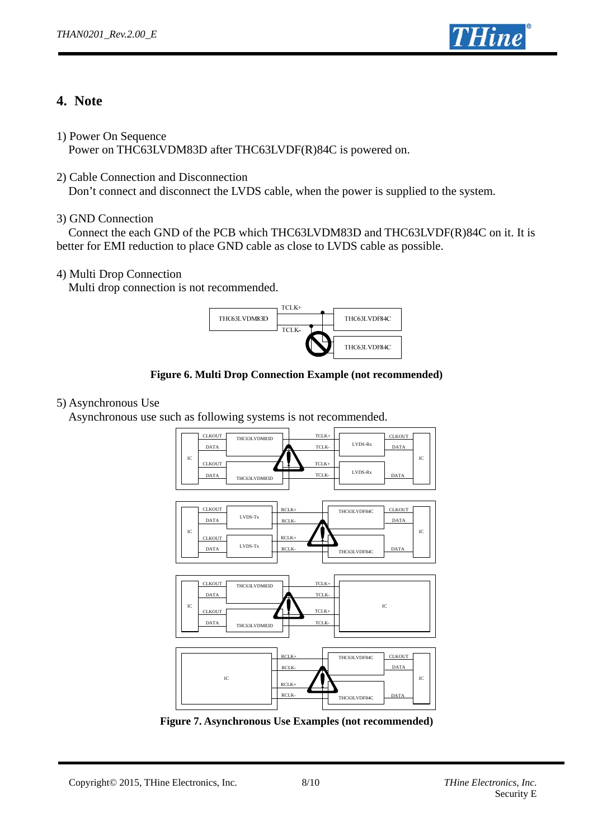

## **4. Note**

1) Power On Sequence

Power on THC63LVDM83D after THC63LVDF(R)84C is powered on.

2) Cable Connection and Disconnection

Don't connect and disconnect the LVDS cable, when the power is supplied to the system.

## 3) GND Connection

 Connect the each GND of the PCB which THC63LVDM83D and THC63LVDF(R)84C on it. It is better for EMI reduction to place GND cable as close to LVDS cable as possible.

## 4) Multi Drop Connection

Multi drop connection is not recommended.



**Figure 6. Multi Drop Connection Example (not recommended)** 

## 5) Asynchronous Use

Asynchronous use such as following systems is not recommended.



**Figure 7. Asynchronous Use Examples (not recommended)**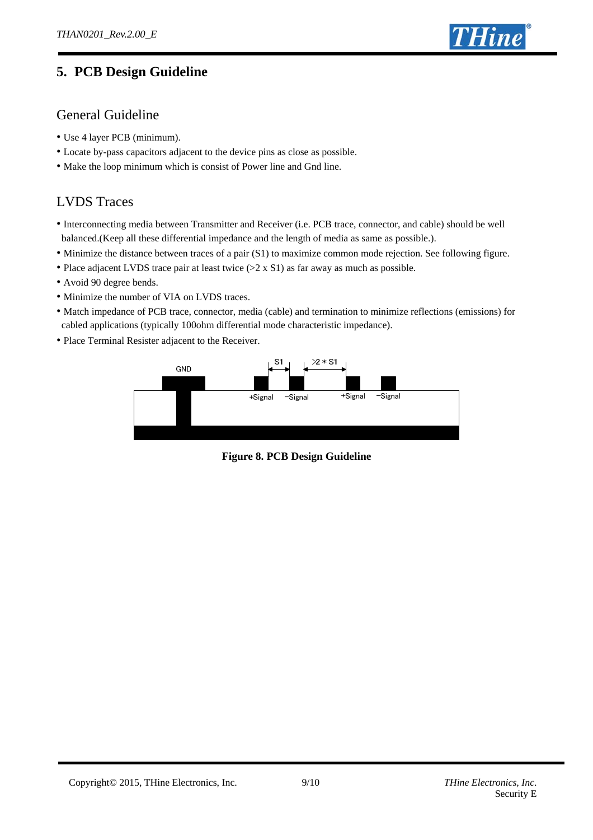

# **5. PCB Design Guideline**

## General Guideline

- Use 4 layer PCB (minimum).
- Locate by-pass capacitors adjacent to the device pins as close as possible.
- Make the loop minimum which is consist of Power line and Gnd line.

## LVDS Traces

- Interconnecting media between Transmitter and Receiver (i.e. PCB trace, connector, and cable) should be well balanced.(Keep all these differential impedance and the length of media as same as possible.).
- Minimize the distance between traces of a pair (S1) to maximize common mode rejection. See following figure.
- Place adjacent LVDS trace pair at least twice (>2 x S1) as far away as much as possible.
- Avoid 90 degree bends.
- Minimize the number of VIA on LVDS traces.
- Match impedance of PCB trace, connector, media (cable) and termination to minimize reflections (emissions) for cabled applications (typically 100ohm differential mode characteristic impedance).
- Place Terminal Resister adjacent to the Receiver.



**Figure 8. PCB Design Guideline**